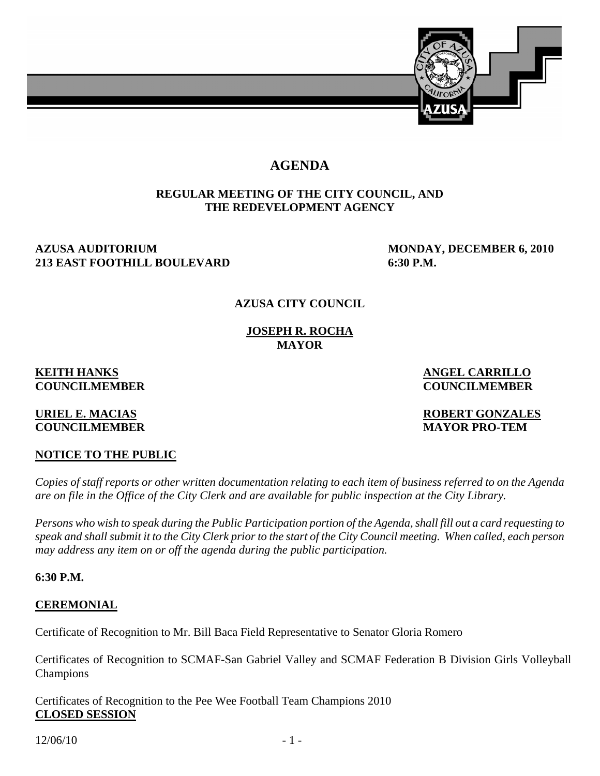

# **AGENDA**

## **REGULAR MEETING OF THE CITY COUNCIL, AND THE REDEVELOPMENT AGENCY**

## AZUSA AUDITORIUM MONDAY, DECEMBER 6, 2010 **213 EAST FOOTHILL BOULEVARD 6:30 P.M.**

# **AZUSA CITY COUNCIL**

**JOSEPH R. ROCHA MAYOR** 

#### **KEITH HANKS** ANGEL CARRILLO **COUNCILMEMBER COUNCILMEMBER**

# **COUNCILMEMBER MAYOR PRO-TEM**

**URIEL E. MACIAS ROBERT GONZALES** 

# **NOTICE TO THE PUBLIC**

*Copies of staff reports or other written documentation relating to each item of business referred to on the Agenda are on file in the Office of the City Clerk and are available for public inspection at the City Library.* 

*Persons who wish to speak during the Public Participation portion of the Agenda, shall fill out a card requesting to speak and shall submit it to the City Clerk prior to the start of the City Council meeting. When called, each person may address any item on or off the agenda during the public participation.* 

**6:30 P.M.** 

# **CEREMONIAL**

Certificate of Recognition to Mr. Bill Baca Field Representative to Senator Gloria Romero

Certificates of Recognition to SCMAF-San Gabriel Valley and SCMAF Federation B Division Girls Volleyball Champions

Certificates of Recognition to the Pee Wee Football Team Champions 2010 **CLOSED SESSION**

 $12/06/10$  - 1 -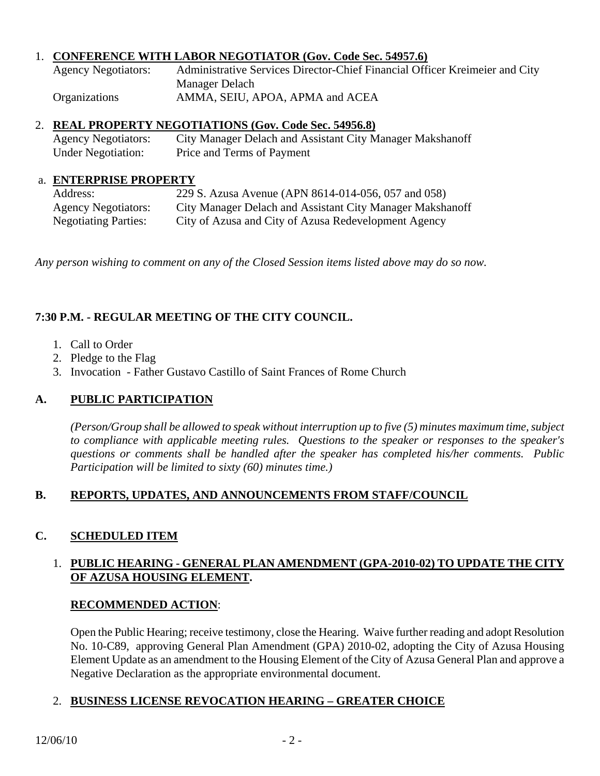## 1. **CONFERENCE WITH LABOR NEGOTIATOR (Gov. Code Sec. 54957.6)**

| <b>Agency Negotiators:</b> | Administrative Services Director-Chief Financial Officer Kreimeier and City |
|----------------------------|-----------------------------------------------------------------------------|
|                            | Manager Delach                                                              |
| <b>Organizations</b>       | AMMA, SEIU, APOA, APMA and ACEA                                             |

## 2. **REAL PROPERTY NEGOTIATIONS (Gov. Code Sec. 54956.8)**

 Agency Negotiators: City Manager Delach and Assistant City Manager Makshanoff Under Negotiation: Price and Terms of Payment

## a. **ENTERPRISE PROPERTY**

| Address:                    | 229 S. Azusa Avenue (APN 8614-014-056, 057 and 058)       |
|-----------------------------|-----------------------------------------------------------|
| <b>Agency Negotiators:</b>  | City Manager Delach and Assistant City Manager Makshanoff |
| <b>Negotiating Parties:</b> | City of Azusa and City of Azusa Redevelopment Agency      |

*Any person wishing to comment on any of the Closed Session items listed above may do so now.* 

# **7:30 P.M. - REGULAR MEETING OF THE CITY COUNCIL.**

- 1. Call to Order
- 2. Pledge to the Flag
- 3. Invocation Father Gustavo Castillo of Saint Frances of Rome Church

# **A. PUBLIC PARTICIPATION**

*(Person/Group shall be allowed to speak without interruption up to five (5) minutes maximum time, subject to compliance with applicable meeting rules. Questions to the speaker or responses to the speaker's questions or comments shall be handled after the speaker has completed his/her comments. Public Participation will be limited to sixty (60) minutes time.)* 

## **B. REPORTS, UPDATES, AND ANNOUNCEMENTS FROM STAFF/COUNCIL**

# **C. SCHEDULED ITEM**

## 1. **PUBLIC HEARING - GENERAL PLAN AMENDMENT (GPA-2010-02) TO UPDATE THE CITY OF AZUSA HOUSING ELEMENT.**

## **RECOMMENDED ACTION**:

 Open the Public Hearing; receive testimony, close the Hearing. Waive further reading and adopt Resolution No. 10-C89, approving General Plan Amendment (GPA) 2010-02, adopting the City of Azusa Housing Element Update as an amendment to the Housing Element of the City of Azusa General Plan and approve a Negative Declaration as the appropriate environmental document.

## 2. **BUSINESS LICENSE REVOCATION HEARING – GREATER CHOICE**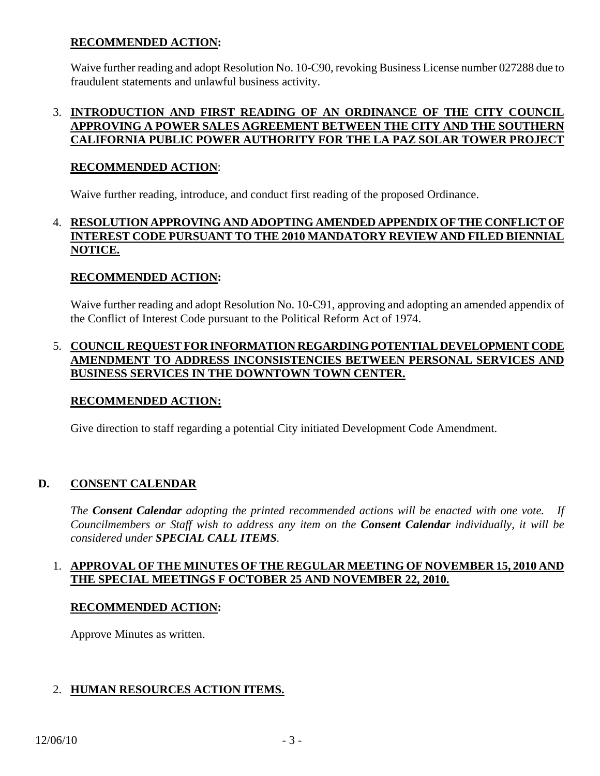## **RECOMMENDED ACTION:**

Waive further reading and adopt Resolution No. 10-C90, revoking Business License number 027288 due to fraudulent statements and unlawful business activity.

## 3. **INTRODUCTION AND FIRST READING OF AN ORDINANCE OF THE CITY COUNCIL APPROVING A POWER SALES AGREEMENT BETWEEN THE CITY AND THE SOUTHERN CALIFORNIA PUBLIC POWER AUTHORITY FOR THE LA PAZ SOLAR TOWER PROJECT**

## **RECOMMENDED ACTION**:

Waive further reading, introduce, and conduct first reading of the proposed Ordinance.

## 4. **RESOLUTION APPROVING AND ADOPTING AMENDED APPENDIX OF THE CONFLICT OF INTEREST CODE PURSUANT TO THE 2010 MANDATORY REVIEW AND FILED BIENNIAL NOTICE.**

## **RECOMMENDED ACTION:**

 Waive further reading and adopt Resolution No. 10-C91, approving and adopting an amended appendix of the Conflict of Interest Code pursuant to the Political Reform Act of 1974.

## 5. **COUNCIL REQUEST FOR INFORMATION REGARDING POTENTIAL DEVELOPMENT CODE AMENDMENT TO ADDRESS INCONSISTENCIES BETWEEN PERSONAL SERVICES AND BUSINESS SERVICES IN THE DOWNTOWN TOWN CENTER.**

## **RECOMMENDED ACTION:**

Give direction to staff regarding a potential City initiated Development Code Amendment.

## **D. CONSENT CALENDAR**

*The Consent Calendar adopting the printed recommended actions will be enacted with one vote. If Councilmembers or Staff wish to address any item on the Consent Calendar individually, it will be considered under SPECIAL CALL ITEMS.* 

## 1. **APPROVAL OF THE MINUTES OF THE REGULAR MEETING OF NOVEMBER 15, 2010 AND THE SPECIAL MEETINGS F OCTOBER 25 AND NOVEMBER 22, 2010.**

#### **RECOMMENDED ACTION:**

Approve Minutes as written.

## 2. **HUMAN RESOURCES ACTION ITEMS.**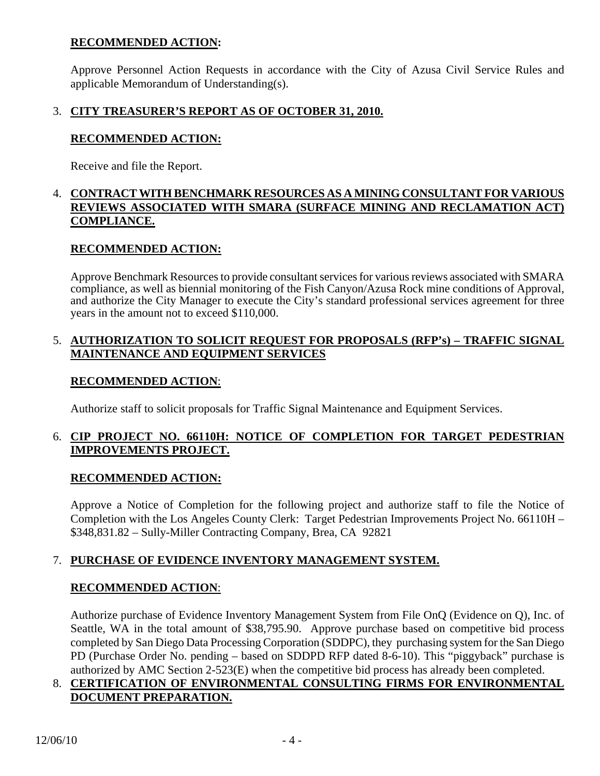## **RECOMMENDED ACTION:**

 Approve Personnel Action Requests in accordance with the City of Azusa Civil Service Rules and applicable Memorandum of Understanding(s).

## 3. **CITY TREASURER'S REPORT AS OF OCTOBER 31, 2010.**

## **RECOMMENDED ACTION:**

Receive and file the Report.

#### 4. **CONTRACT WITH BENCHMARK RESOURCES AS A MINING CONSULTANT FOR VARIOUS REVIEWS ASSOCIATED WITH SMARA (SURFACE MINING AND RECLAMATION ACT) COMPLIANCE.**

## **RECOMMENDED ACTION:**

 Approve Benchmark Resources to provide consultant services for various reviews associated with SMARA compliance, as well as biennial monitoring of the Fish Canyon/Azusa Rock mine conditions of Approval, and authorize the City Manager to execute the City's standard professional services agreement for three years in the amount not to exceed \$110,000.

## 5. **AUTHORIZATION TO SOLICIT REQUEST FOR PROPOSALS (RFP's) – TRAFFIC SIGNAL MAINTENANCE AND EQUIPMENT SERVICES**

## **RECOMMENDED ACTION**:

Authorize staff to solicit proposals for Traffic Signal Maintenance and Equipment Services.

## 6. **CIP PROJECT NO. 66110H: NOTICE OF COMPLETION FOR TARGET PEDESTRIAN IMPROVEMENTS PROJECT.**

## **RECOMMENDED ACTION:**

 Approve a Notice of Completion for the following project and authorize staff to file the Notice of Completion with the Los Angeles County Clerk: Target Pedestrian Improvements Project No. 66110H – \$348,831.82 – Sully-Miller Contracting Company, Brea, CA 92821

# 7. **PURCHASE OF EVIDENCE INVENTORY MANAGEMENT SYSTEM.**

## **RECOMMENDED ACTION**:

 Authorize purchase of Evidence Inventory Management System from File OnQ (Evidence on Q), Inc. of Seattle, WA in the total amount of \$38,795.90. Approve purchase based on competitive bid process completed by San Diego Data Processing Corporation (SDDPC), they purchasing system for the San Diego PD (Purchase Order No. pending – based on SDDPD RFP dated 8-6-10). This "piggyback" purchase is authorized by AMC Section 2-523(E) when the competitive bid process has already been completed.

## 8. **CERTIFICATION OF ENVIRONMENTAL CONSULTING FIRMS FOR ENVIRONMENTAL DOCUMENT PREPARATION.**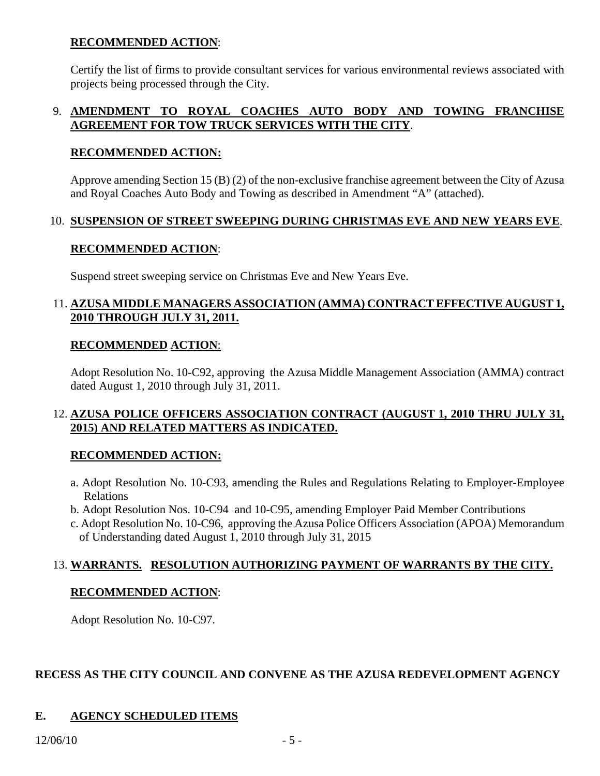## **RECOMMENDED ACTION**:

 Certify the list of firms to provide consultant services for various environmental reviews associated with projects being processed through the City.

## 9. **AMENDMENT TO ROYAL COACHES AUTO BODY AND TOWING FRANCHISE AGREEMENT FOR TOW TRUCK SERVICES WITH THE CITY**.

## **RECOMMENDED ACTION:**

 Approve amending Section 15 (B) (2) of the non-exclusive franchise agreement between the City of Azusa and Royal Coaches Auto Body and Towing as described in Amendment "A" (attached).

## 10. **SUSPENSION OF STREET SWEEPING DURING CHRISTMAS EVE AND NEW YEARS EVE**.

## **RECOMMENDED ACTION**:

Suspend street sweeping service on Christmas Eve and New Years Eve.

## 11. **AZUSA MIDDLE MANAGERS ASSOCIATION (AMMA) CONTRACT EFFECTIVE AUGUST 1, 2010 THROUGH JULY 31, 2011.**

## **RECOMMENDED ACTION**:

 Adopt Resolution No. 10-C92, approving the Azusa Middle Management Association (AMMA) contract dated August 1, 2010 through July 31, 2011.

## 12. **AZUSA POLICE OFFICERS ASSOCIATION CONTRACT (AUGUST 1, 2010 THRU JULY 31, 2015) AND RELATED MATTERS AS INDICATED.**

## **RECOMMENDED ACTION:**

- a. Adopt Resolution No. 10-C93, amending the Rules and Regulations Relating to Employer-Employee Relations
- b. Adopt Resolution Nos. 10-C94 and 10-C95, amending Employer Paid Member Contributions
- c. Adopt Resolution No. 10-C96, approving the Azusa Police Officers Association (APOA) Memorandum of Understanding dated August 1, 2010 through July 31, 2015

# 13. **WARRANTS. RESOLUTION AUTHORIZING PAYMENT OF WARRANTS BY THE CITY.**

## **RECOMMENDED ACTION**:

Adopt Resolution No. 10-C97.

## **RECESS AS THE CITY COUNCIL AND CONVENE AS THE AZUSA REDEVELOPMENT AGENCY**

# **E. AGENCY SCHEDULED ITEMS**

#### $12/06/10$  - 5 -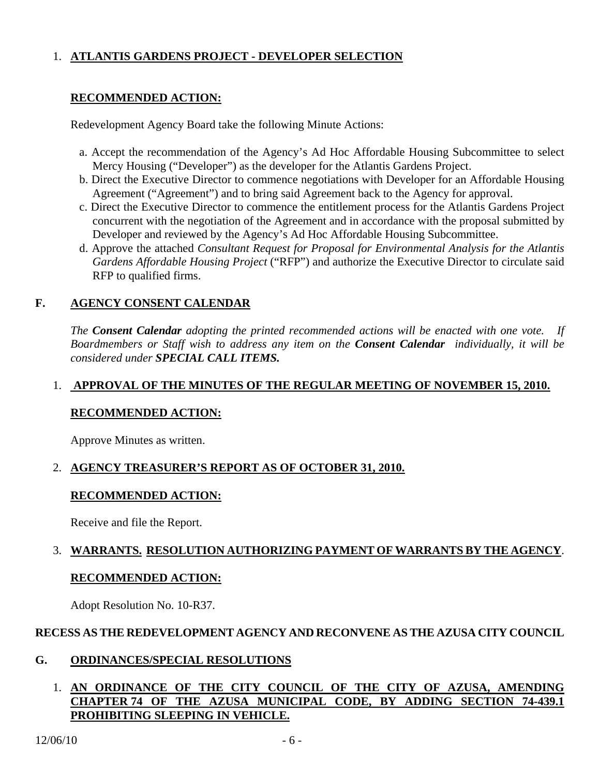# 1. **ATLANTIS GARDENS PROJECT - DEVELOPER SELECTION**

## **RECOMMENDED ACTION:**

Redevelopment Agency Board take the following Minute Actions:

- a. Accept the recommendation of the Agency's Ad Hoc Affordable Housing Subcommittee to select Mercy Housing ("Developer") as the developer for the Atlantis Gardens Project.
- b. Direct the Executive Director to commence negotiations with Developer for an Affordable Housing Agreement ("Agreement") and to bring said Agreement back to the Agency for approval.
- c. Direct the Executive Director to commence the entitlement process for the Atlantis Gardens Project concurrent with the negotiation of the Agreement and in accordance with the proposal submitted by Developer and reviewed by the Agency's Ad Hoc Affordable Housing Subcommittee.
- d. Approve the attached *Consultant Request for Proposal for Environmental Analysis for the Atlantis Gardens Affordable Housing Project* ("RFP") and authorize the Executive Director to circulate said RFP to qualified firms.

## **F. AGENCY CONSENT CALENDAR**

 *The Consent Calendar adopting the printed recommended actions will be enacted with one vote. If Boardmembers or Staff wish to address any item on the Consent Calendar individually, it will be considered under SPECIAL CALL ITEMS.* 

## 1. **APPROVAL OF THE MINUTES OF THE REGULAR MEETING OF NOVEMBER 15, 2010.**

## **RECOMMENDED ACTION:**

Approve Minutes as written.

## 2. **AGENCY TREASURER'S REPORT AS OF OCTOBER 31, 2010.**

## **RECOMMENDED ACTION:**

Receive and file the Report.

# 3. **WARRANTS. RESOLUTION AUTHORIZING PAYMENT OF WARRANTS BY THE AGENCY**.

## **RECOMMENDED ACTION:**

Adopt Resolution No. 10-R37.

## **RECESS AS THE REDEVELOPMENT AGENCY AND RECONVENE AS THE AZUSA CITY COUNCIL**

## **G. ORDINANCES/SPECIAL RESOLUTIONS**

## 1. **AN ORDINANCE OF THE CITY COUNCIL OF THE CITY OF AZUSA, AMENDING CHAPTER 74 OF THE AZUSA MUNICIPAL CODE, BY ADDING SECTION 74-439.1 PROHIBITING SLEEPING IN VEHICLE.**